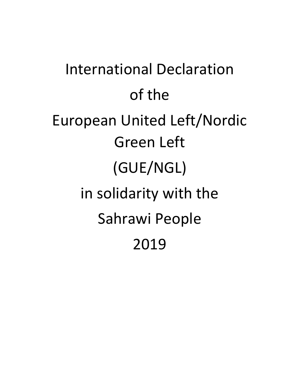International Declaration of the European United Left/Nordic Green Left (GUE/NGL) in solidarity with the Sahrawi People 2019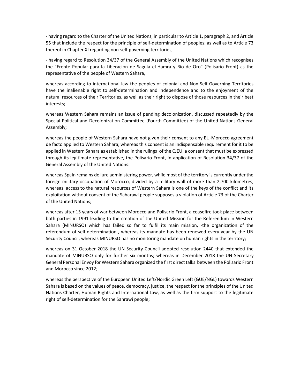- having regard to the Charter of the United Nations, in particular to Article 1, paragraph 2, and Article 55 that include the respect for the principle of self-determination of peoples; as well as to Article 73 thereof in Chapter XI regarding non-self-governing territories,

- having regard to Resolution 34/37 of the General Assembly of the United Nations which recognises the "Frente Popular para la Liberación de Saguía el-Hamra y Río de Oro" (Polisario Front) as the representative of the people of Western Sahara,

whereas according to international law the peoples of colonial and Non-Self-Governing Territories have the inalienable right to self-determination and independence and to the enjoyment of the natural resources of their Territories, as well as their right to dispose of those resources in their best interests;

whereas Western Sahara remains an issue of pending decolonization, discussed repeatedly by the Special Political and Decolonization Committee (Fourth Committee) of the United Nations General Assembly;

whereas the people of Western Sahara have not given their consent to any EU-Morocco agreement de facto applied to Western Sahara; whereas this consent is an indispensable requirement for it to be applied in Western Sahara as established in the rulings of the CJEU, a consent that must be expressed through its legitimate representative, the Polisario Front, in application of Resolution 34/37 of the General Assembly of the United Nations:

whereas Spain remains de iure administering power, while most of the territory is currently under the foreign military occupation of Morocco, divided by a military wall of more than 2,700 kilometres; whereas access to the natural resources of Western Sahara is one of the keys of the conflict and its exploitation without consent of the Saharawi people supposes a violation of Article 73 of the Charter of the United Nations;

whereas after 15 years of war between Morocco and Polisario Front, a ceasefire took place between both parties in 1991 leading to the creation of the United Mission for the Referendum in Western Sahara (MINURSO) which has failed so far to fulfil its main mission, -the organization of the referendum of self-determination-, whereas its mandate has been renewed every year by the UN Security Council, whereas MINURSO has no monitoring mandate on human rights in the territory;

whereas on 31 October 2018 the UN Security Council adopted resolution 2440 that extended the mandate of MINURSO only for further six months; whereas in December 2018 the UN Secretary General Personal Envoy for Western Sahara organized the first direct talks between the Polisario Front and Morocco since 2012;

whereas the perspective of the European United Left/Nordic Green Left (GUE/NGL) towards Western Sahara is based on the values of peace, democracy, justice, the respect for the principles of the United Nations Charter, Human Rights and International Law, as well as the firm support to the legitimate right of self-determination for the Sahrawi people;